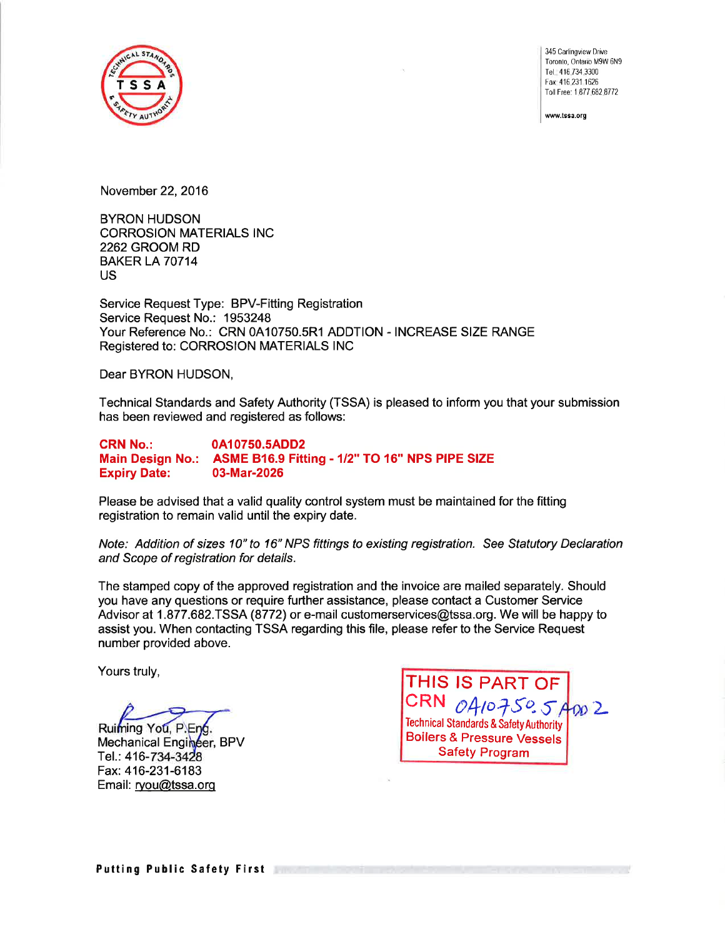

345 Carlingview Drive Toronto, Ontario M9W 6N9 Tel. 416.734.3300 Fax 416231 1626 Toll Free: 1 877 682 8772

www.tssa.org

November 22,2016

BYRON HUDSON CORROSION MATERIALS INC 2262 GROOM RD **BAKER LA 70714** US

Service Request Type: BPV-Fitting Registration Service Request No.: 1953248 Your Reference No.: CRN 0410750.5R1 ADDTION - INCREASE SIZE RANGE Registered to: CORROSION MATERIALS INC

Dear BYRON HUDSON,

Technical Standards and Safety Authority (TSSA) is pleased to inform you that your submission has been reviewed and registered as follows:

CRN No.: 0A10750.5ADD2 Main Design No.: ASME B16.9 Fitting - 1/2" TO 16" NPS PIPE SIZE<br>Expiry Date: 03-Mar-2026 **Expiry Date:** 

Please be advised that a valid quality control system must be maintained for the fitting registration to remain valid until the expiry date.

Note: Addition of sizes 10" to 16" NPS fittings to existing registration. See Statutory Declaration and Scope of registration for details.

The stamped copy of the approved registration and the invoice are mailed separately. Should you have any questions or require further assistance, please contact a Customer Service Advisor at 1.877.682.T5S4 (8772) or e-mail customerservices@tssa.org. We will be happy to assist you. When contacting TSSA regarding this file, please refer to the Service Request number provided above.

Yours truly,

Ruiming You, P.Eng. Mechanical Engineer, BPV Tel.: 416-734-3428 Fax: 416-231-6183 Email: ryou@tssa.org

CRN  $_0A_10750.5A_{00}2$ THIS IS PART OF Technical Standards & Safety Authority Boilers & Pressure Vessels Safety Program

Putting Public Safety First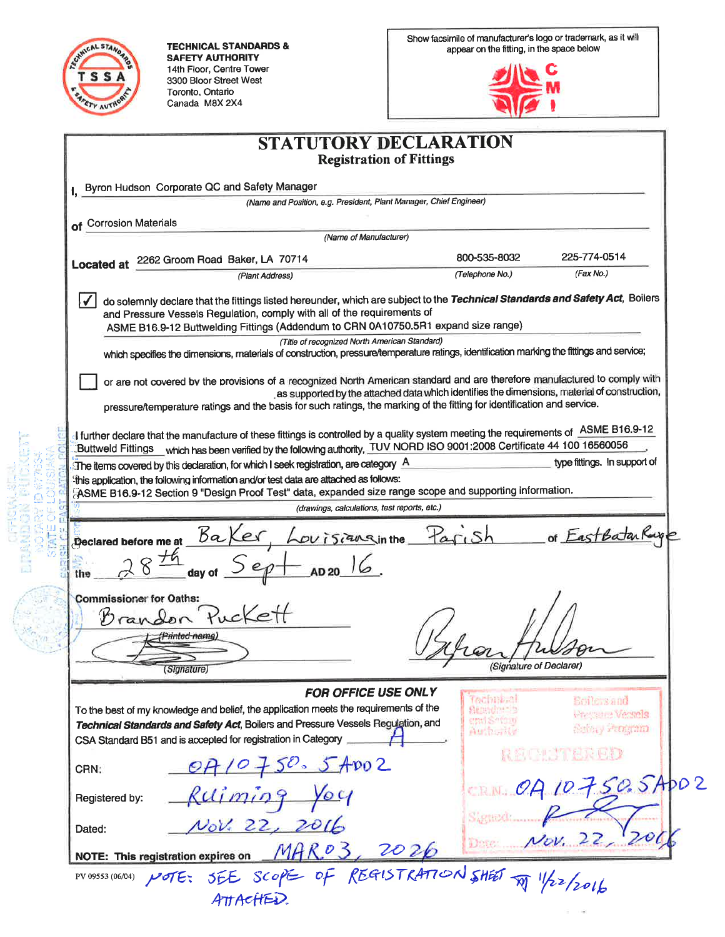

**TECHNICAL STANDARDS & SAFETY AUTHORITY** 14th Floor, Centre Tower<br>3300 Bloor Street West Toronto, Ontario Canada M8X 2X4

Show facsimile of manufacturer's logo or trademark, as it will<br>appear on the fitting, in the space below



 $\sim$  100

| <b>STATUTORY DECLARATION</b>                                                                                                                                                                                                                                                                  |                                |                              |
|-----------------------------------------------------------------------------------------------------------------------------------------------------------------------------------------------------------------------------------------------------------------------------------------------|--------------------------------|------------------------------|
| <b>Registration of Fittings</b>                                                                                                                                                                                                                                                               |                                |                              |
| Byron Hudson Corporate QC and Safety Manager                                                                                                                                                                                                                                                  |                                |                              |
| (Name and Position, e.g. President, Plant Manager, Chief Engineer)                                                                                                                                                                                                                            |                                |                              |
| of Corrosion Materials                                                                                                                                                                                                                                                                        |                                |                              |
| (Name of Manufacturer)                                                                                                                                                                                                                                                                        |                                |                              |
| 2262 Groom Road Baker, LA 70714<br><b>Located at</b>                                                                                                                                                                                                                                          | 800-535-8032                   | 225-774-0514                 |
| (Plant Address)                                                                                                                                                                                                                                                                               | (Telephone No.)                | (Fax No.)                    |
| do solemnly declare that the fittings listed hereunder, which are subject to the Technical Standards and Safety Act, Boilers<br>and Pressure Vessels Regulation, comply with all of the requirements of<br>ASME B16.9-12 Buttwelding Fittings (Addendum to CRN 0A10750.5R1 expand size range) |                                |                              |
| (Title of recognized North American Standard)                                                                                                                                                                                                                                                 |                                |                              |
| which specifies the dimensions, materials of construction, pressure/temperature ratings, identification marking the fittings and service;                                                                                                                                                     |                                |                              |
| or are not covered by the provisions of a recognized North American standard and are therefore manufactured to comply with<br>as supported by the attached data which identifies the dimensions, material of construction,                                                                    |                                |                              |
| pressure/temperature ratings and the basis for such ratings, the marking of the fitting for identification and service.                                                                                                                                                                       |                                |                              |
| I further declare that the manufacture of these fittings is controlled by a quality system meeting the requirements of ASME B16.9-12<br>Buttweld Fittings which has been verified by the following authority, TUV NORD ISO 9001:2008 Certificate 44 100 16560056                              |                                |                              |
| $\mathbb H$ The items covered by this declaration, for which I seek registration, are category $\mathbb A$                                                                                                                                                                                    |                                | type fittings. In support of |
| this application, the following information and/or test data are attached as follows:                                                                                                                                                                                                         |                                |                              |
| FASME B16.9-12 Section 9 "Design Proof Test" data, expanded size range scope and supporting information.<br>(drawings, calculations, test reports, etc.)                                                                                                                                      |                                |                              |
|                                                                                                                                                                                                                                                                                               |                                |                              |
| Louisianainthe Parish<br>Declared before me at $6a$                                                                                                                                                                                                                                           |                                | of EastBatarRa               |
|                                                                                                                                                                                                                                                                                               |                                |                              |
| <b>Commissioner for Oaths:</b>                                                                                                                                                                                                                                                                |                                |                              |
| Drandon                                                                                                                                                                                                                                                                                       |                                |                              |
| mm <del>ed na</del> me                                                                                                                                                                                                                                                                        |                                |                              |
|                                                                                                                                                                                                                                                                                               | $w_{\lambda}$                  | $\sim$                       |
| (Signature)                                                                                                                                                                                                                                                                                   | (Signature of Declarer)        |                              |
| FOR OFFICE USE ONLY                                                                                                                                                                                                                                                                           | Tochnical                      | <b>Scilevs</b> and           |
| To the best of my knowledge and belief, the application meets the requirements of the                                                                                                                                                                                                         | <b>Standards</b><br>emi Safony | <b>Whereaster Versiels</b>   |
| Technical Standards and Safety Act, Boilers and Pressure Vessels Regulation, and<br>CSA Standard B51 and is accepted for registration in Category                                                                                                                                             | <b>Authority</b>               | contouy vernigmm             |
| 0710750.57002<br>CRN:                                                                                                                                                                                                                                                                         |                                | <b>最初中心不思索更好</b>             |
| Ruiming You<br>Registered by:                                                                                                                                                                                                                                                                 |                                | CRN. OA 10750.5Apo2          |
| Nov. 22, 2016<br>Dated:                                                                                                                                                                                                                                                                       | SARRECT                        | Dete $Nov. 22$               |
| MAR.03, 2026<br><b>NOTE: This registration expires on</b>                                                                                                                                                                                                                                     |                                |                              |
| MOTE: SEE SCOPE OF REGISTRATION SHEET TO 1/22/2016<br>PV 09553 (06/04)                                                                                                                                                                                                                        |                                |                              |
| ATTACHED.                                                                                                                                                                                                                                                                                     |                                |                              |